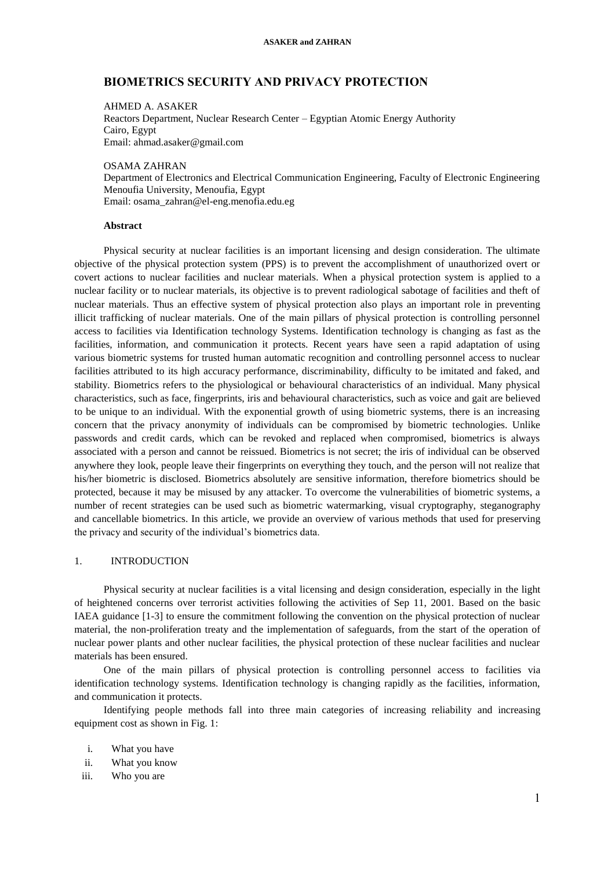# **BIOMETRICS SECURITY AND PRIVACY PROTECTION**

AHMED A. ASAKER Reactors Department, Nuclear Research Center – Egyptian Atomic Energy Authority Cairo, Egypt Email: ahmad.asaker@gmail.com

OSAMA ZAHRAN Department of Electronics and Electrical Communication Engineering, Faculty of Electronic Engineering Menoufia University, Menoufia, Egypt Email: osama\_zahran@el-eng.menofia.edu.eg

## **Abstract**

Physical security at nuclear facilities is an important licensing and design consideration. The ultimate objective of the physical protection system (PPS) is to prevent the accomplishment of unauthorized overt or covert actions to nuclear facilities and nuclear materials. When a physical protection system is applied to a nuclear facility or to nuclear materials, its objective is to prevent radiological sabotage of facilities and theft of nuclear materials. Thus an effective system of physical protection also plays an important role in preventing illicit trafficking of nuclear materials. One of the main pillars of physical protection is controlling personnel access to facilities via Identification technology Systems. Identification technology is changing as fast as the facilities, information, and communication it protects. Recent years have seen a rapid adaptation of using various biometric systems for trusted human automatic recognition and controlling personnel access to nuclear facilities attributed to its high accuracy performance, discriminability, difficulty to be imitated and faked, and stability. Biometrics refers to the physiological or behavioural characteristics of an individual. Many physical characteristics, such as face, fingerprints, iris and behavioural characteristics, such as voice and gait are believed to be unique to an individual. With the exponential growth of using biometric systems, there is an increasing concern that the privacy anonymity of individuals can be compromised by biometric technologies. Unlike passwords and credit cards, which can be revoked and replaced when compromised, biometrics is always associated with a person and cannot be reissued. Biometrics is not secret; the iris of individual can be observed anywhere they look, people leave their fingerprints on everything they touch, and the person will not realize that his/her biometric is disclosed. Biometrics absolutely are sensitive information, therefore biometrics should be protected, because it may be misused by any attacker. To overcome the vulnerabilities of biometric systems, a number of recent strategies can be used such as biometric watermarking, visual cryptography, steganography and cancellable biometrics. In this article, we provide an overview of various methods that used for preserving the privacy and security of the individual's biometrics data.

# 1. INTRODUCTION

Physical security at nuclear facilities is a vital licensing and design consideration, especially in the light of heightened concerns over terrorist activities following the activities of Sep 11, 2001. Based on the basic IAEA guidance [1-3] to ensure the commitment following the convention on the physical protection of nuclear material, the non-proliferation treaty and the implementation of safeguards, from the start of the operation of nuclear power plants and other nuclear facilities, the physical protection of these nuclear facilities and nuclear materials has been ensured.

One of the main pillars of physical protection is controlling personnel access to facilities via identification technology systems. Identification technology is changing rapidly as the facilities, information, and communication it protects.

Identifying people methods fall into three main categories of increasing reliability and increasing equipment cost as shown in Fig. 1:

- i. What you have
- ii. What you know
- iii. Who you are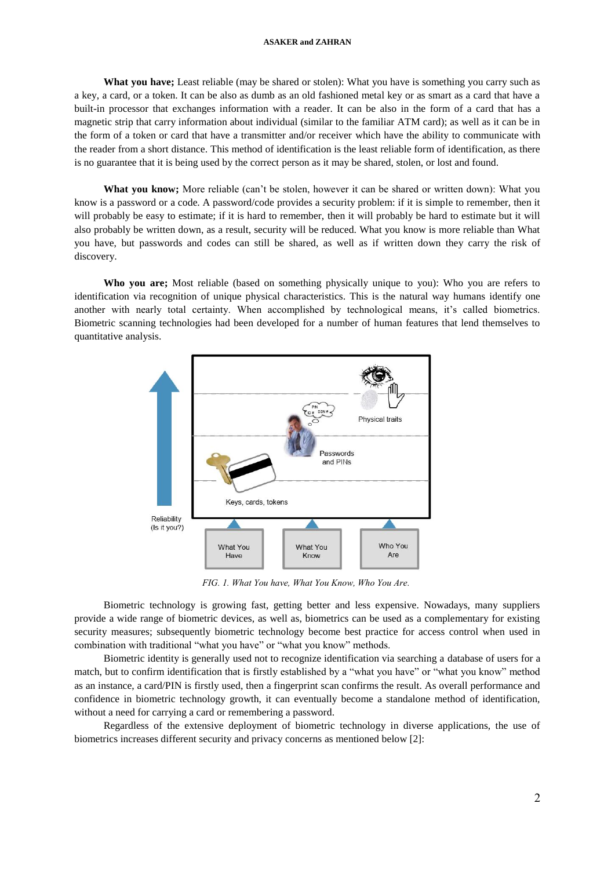**What you have;** Least reliable (may be shared or stolen): What you have is something you carry such as a key, a card, or a token. It can be also as dumb as an old fashioned metal key or as smart as a card that have a built-in processor that exchanges information with a reader. It can be also in the form of a card that has a magnetic strip that carry information about individual (similar to the familiar ATM card); as well as it can be in the form of a token or card that have a transmitter and/or receiver which have the ability to communicate with the reader from a short distance. This method of identification is the least reliable form of identification, as there is no guarantee that it is being used by the correct person as it may be shared, stolen, or lost and found.

**What you know;** More reliable (can't be stolen, however it can be shared or written down): What you know is a password or a code. A password/code provides a security problem: if it is simple to remember, then it will probably be easy to estimate; if it is hard to remember, then it will probably be hard to estimate but it will also probably be written down, as a result, security will be reduced. What you know is more reliable than What you have, but passwords and codes can still be shared, as well as if written down they carry the risk of discovery.

**Who you are;** Most reliable (based on something physically unique to you): Who you are refers to identification via recognition of unique physical characteristics. This is the natural way humans identify one another with nearly total certainty. When accomplished by technological means, it's called biometrics. Biometric scanning technologies had been developed for a number of human features that lend themselves to quantitative analysis.



*FIG. 1. What You have, What You Know, Who You Are.*

Biometric technology is growing fast, getting better and less expensive. Nowadays, many suppliers provide a wide range of biometric devices, as well as, biometrics can be used as a complementary for existing security measures; subsequently biometric technology become best practice for access control when used in combination with traditional "what you have" or "what you know" methods.

Biometric identity is generally used not to recognize identification via searching a database of users for a match, but to confirm identification that is firstly established by a "what you have" or "what you know" method as an instance, a card/PIN is firstly used, then a fingerprint scan confirms the result. As overall performance and confidence in biometric technology growth, it can eventually become a standalone method of identification, without a need for carrying a card or remembering a password.

Regardless of the extensive deployment of biometric technology in diverse applications, the use of biometrics increases different security and privacy concerns as mentioned below [2]: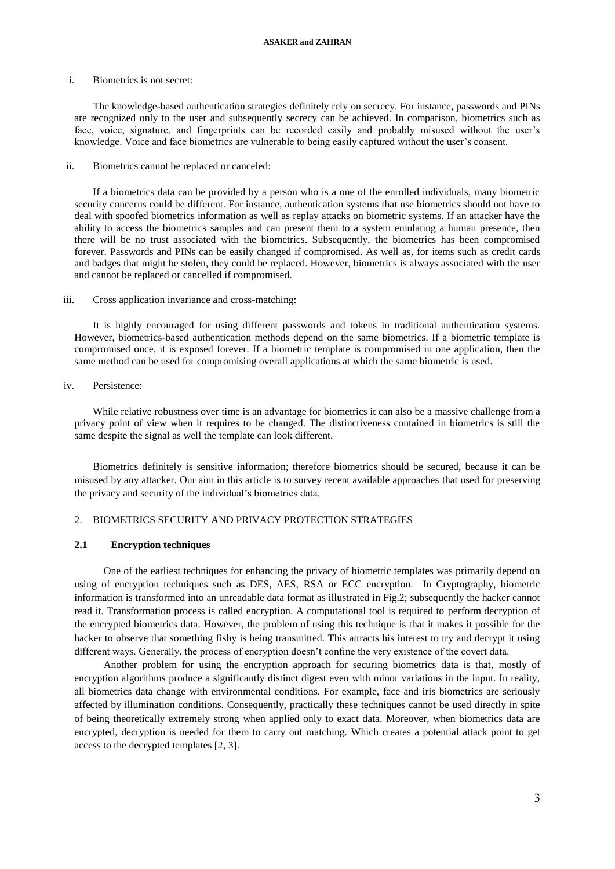#### i. Biometrics is not secret:

The knowledge-based authentication strategies definitely rely on secrecy. For instance, passwords and PINs are recognized only to the user and subsequently secrecy can be achieved. In comparison, biometrics such as face, voice, signature, and fingerprints can be recorded easily and probably misused without the user's knowledge. Voice and face biometrics are vulnerable to being easily captured without the user's consent.

ii. Biometrics cannot be replaced or canceled:

If a biometrics data can be provided by a person who is a one of the enrolled individuals, many biometric security concerns could be different. For instance, authentication systems that use biometrics should not have to deal with spoofed biometrics information as well as replay attacks on biometric systems. If an attacker have the ability to access the biometrics samples and can present them to a system emulating a human presence, then there will be no trust associated with the biometrics. Subsequently, the biometrics has been compromised forever. Passwords and PINs can be easily changed if compromised. As well as, for items such as credit cards and badges that might be stolen, they could be replaced. However, biometrics is always associated with the user and cannot be replaced or cancelled if compromised.

#### iii. Cross application invariance and cross-matching:

It is highly encouraged for using different passwords and tokens in traditional authentication systems. However, biometrics-based authentication methods depend on the same biometrics. If a biometric template is compromised once, it is exposed forever. If a biometric template is compromised in one application, then the same method can be used for compromising overall applications at which the same biometric is used.

iv. Persistence:

While relative robustness over time is an advantage for biometrics it can also be a massive challenge from a privacy point of view when it requires to be changed. The distinctiveness contained in biometrics is still the same despite the signal as well the template can look different.

Biometrics definitely is sensitive information; therefore biometrics should be secured, because it can be misused by any attacker. Our aim in this article is to survey recent available approaches that used for preserving the privacy and security of the individual's biometrics data.

# 2. BIOMETRICS SECURITY AND PRIVACY PROTECTION STRATEGIES

# **2.1 Encryption techniques**

One of the earliest techniques for enhancing the privacy of biometric templates was primarily depend on using of encryption techniques such as DES, AES, RSA or ECC encryption. In Cryptography, biometric information is transformed into an unreadable data format as illustrated in Fig.2; subsequently the hacker cannot read it. Transformation process is called encryption. A computational tool is required to perform decryption of the encrypted biometrics data. However, the problem of using this technique is that it makes it possible for the hacker to observe that something fishy is being transmitted. This attracts his interest to try and decrypt it using different ways. Generally, the process of encryption doesn't confine the very existence of the covert data.

Another problem for using the encryption approach for securing biometrics data is that, mostly of encryption algorithms produce a significantly distinct digest even with minor variations in the input. In reality, all biometrics data change with environmental conditions. For example, face and iris biometrics are seriously affected by illumination conditions. Consequently, practically these techniques cannot be used directly in spite of being theoretically extremely strong when applied only to exact data. Moreover, when biometrics data are encrypted, decryption is needed for them to carry out matching. Which creates a potential attack point to get access to the decrypted templates [2, 3].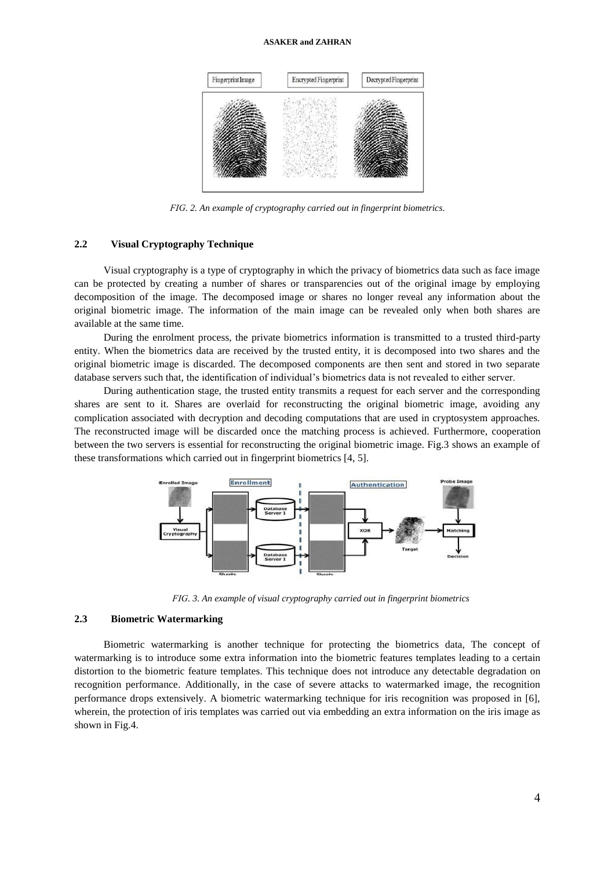

*FIG. 2. An example of cryptography carried out in fingerprint biometrics.*

# **2.2 Visual Cryptography Technique**

Visual cryptography is a type of cryptography in which the privacy of biometrics data such as face image can be protected by creating a number of shares or transparencies out of the original image by employing decomposition of the image. The decomposed image or shares no longer reveal any information about the original biometric image. The information of the main image can be revealed only when both shares are available at the same time.

During the enrolment process, the private biometrics information is transmitted to a trusted third-party entity. When the biometrics data are received by the trusted entity, it is decomposed into two shares and the original biometric image is discarded. The decomposed components are then sent and stored in two separate database servers such that, the identification of individual's biometrics data is not revealed to either server.

During authentication stage, the trusted entity transmits a request for each server and the corresponding shares are sent to it. Shares are overlaid for reconstructing the original biometric image, avoiding any complication associated with decryption and decoding computations that are used in cryptosystem approaches. The reconstructed image will be discarded once the matching process is achieved. Furthermore, cooperation between the two servers is essential for reconstructing the original biometric image. Fig.3 shows an example of these transformations which carried out in fingerprint biometrics [4, 5].



*FIG. 3. An example of visual cryptography carried out in fingerprint biometrics*

# **2.3 Biometric Watermarking**

Biometric watermarking is another technique for protecting the biometrics data, The concept of watermarking is to introduce some extra information into the biometric features templates leading to a certain distortion to the biometric feature templates. This technique does not introduce any detectable degradation on recognition performance. Additionally, in the case of severe attacks to watermarked image, the recognition performance drops extensively. A biometric watermarking technique for iris recognition was proposed in [6], wherein, the protection of iris templates was carried out via embedding an extra information on the iris image as shown in Fig.4.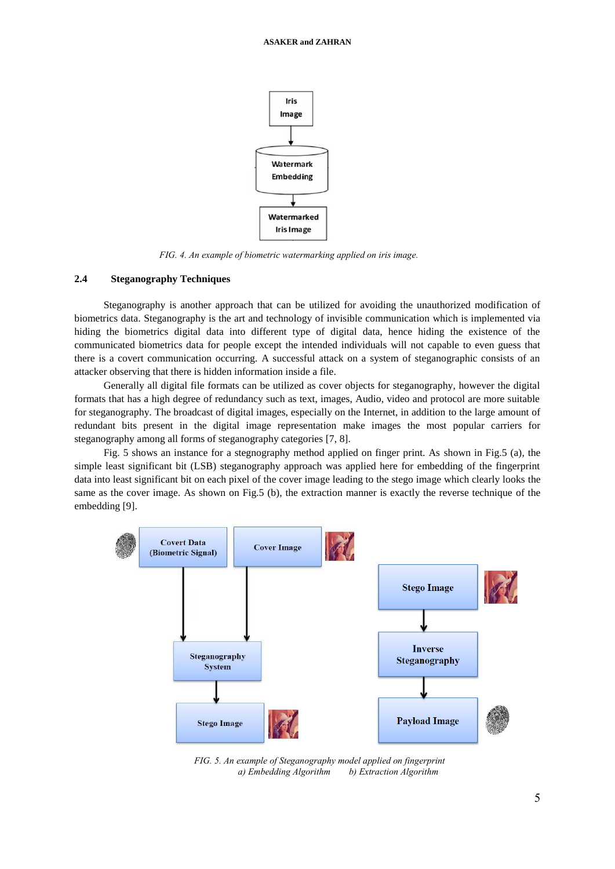

*FIG. 4. An example of biometric watermarking applied on iris image.*

# **2.4 Steganography Techniques**

Steganography is another approach that can be utilized for avoiding the unauthorized modification of biometrics data. Steganography is the art and technology of invisible communication which is implemented via hiding the biometrics digital data into different type of digital data, hence hiding the existence of the communicated biometrics data for people except the intended individuals will not capable to even guess that there is a covert communication occurring. A successful attack on a system of steganographic consists of an attacker observing that there is hidden information inside a file.

Generally all digital file formats can be utilized as cover objects for steganography, however the digital formats that has a high degree of redundancy such as text, images, Audio, video and protocol are more suitable for steganography. The broadcast of digital images, especially on the Internet, in addition to the large amount of redundant bits present in the digital image representation make images the most popular carriers for steganography among all forms of steganography categories [7, 8].

Fig. 5 shows an instance for a stegnography method applied on finger print. As shown in Fig.5 (a), the simple least significant bit (LSB) steganography approach was applied here for embedding of the fingerprint data into least significant bit on each pixel of the cover image leading to the stego image which clearly looks the same as the cover image. As shown on Fig.5 (b), the extraction manner is exactly the reverse technique of the embedding [9].



*FIG. 5. An example of Steganography model applied on fingerprint a) Embedding Algorithm b) Extraction Algorithm*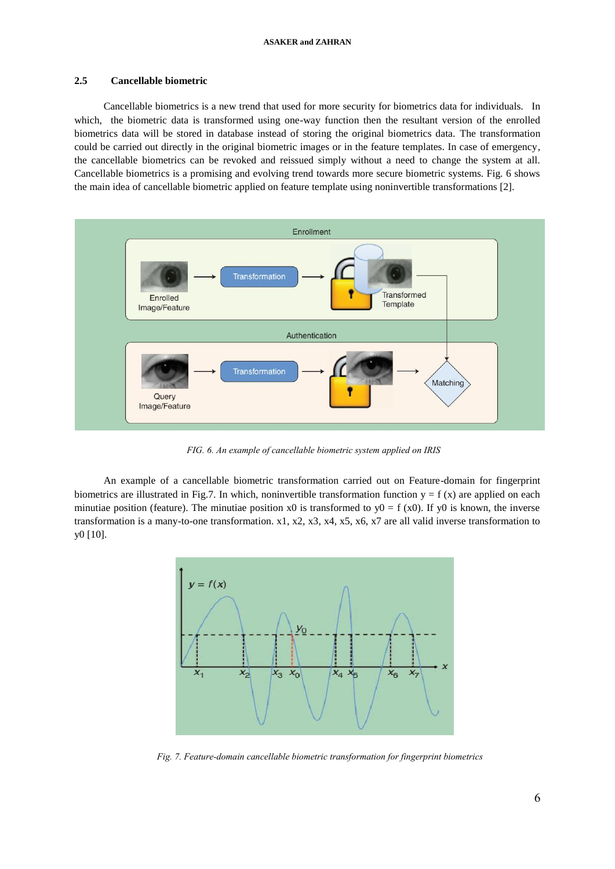## **2.5 Cancellable biometric**

Cancellable biometrics is a new trend that used for more security for biometrics data for individuals. In which, the biometric data is transformed using one-way function then the resultant version of the enrolled biometrics data will be stored in database instead of storing the original biometrics data. The transformation could be carried out directly in the original biometric images or in the feature templates. In case of emergency, the cancellable biometrics can be revoked and reissued simply without a need to change the system at all. Cancellable biometrics is a promising and evolving trend towards more secure biometric systems. Fig. 6 shows the main idea of cancellable biometric applied on feature template using noninvertible transformations [2].



*FIG. 6. An example of cancellable biometric system applied on IRIS* 

An example of a cancellable biometric transformation carried out on Feature-domain for fingerprint biometrics are illustrated in Fig.7. In which, noninvertible transformation function  $y = f(x)$  are applied on each minutiae position (feature). The minutiae position x0 is transformed to  $y0 = f(x0)$ . If y0 is known, the inverse transformation is a many-to-one transformation. x1, x2, x3, x4, x5, x6, x7 are all valid inverse transformation to y0 [10].



*Fig. 7. Feature-domain cancellable biometric transformation for fingerprint biometrics*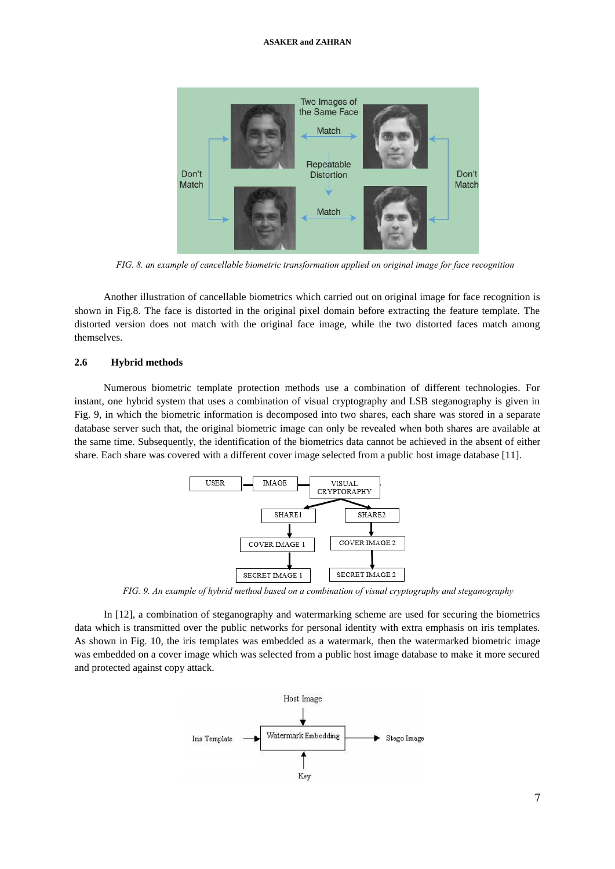

*FIG. 8. an example of cancellable biometric transformation applied on original image for face recognition*

Another illustration of cancellable biometrics which carried out on original image for face recognition is shown in Fig.8. The face is distorted in the original pixel domain before extracting the feature template. The distorted version does not match with the original face image, while the two distorted faces match among themselves.

### **2.6 Hybrid methods**

Numerous biometric template protection methods use a combination of different technologies. For instant, one hybrid system that uses a combination of visual cryptography and LSB steganography is given in Fig. 9, in which the biometric information is decomposed into two shares, each share was stored in a separate database server such that, the original biometric image can only be revealed when both shares are available at the same time. Subsequently, the identification of the biometrics data cannot be achieved in the absent of either share. Each share was covered with a different cover image selected from a public host image database [11].



*FIG. 9. An example of hybrid method based on a combination of visual cryptography and steganography*

In [12], a combination of steganography and watermarking scheme are used for securing the biometrics data which is transmitted over the public networks for personal identity with extra emphasis on iris templates. As shown in Fig. 10, the iris templates was embedded as a watermark, then the watermarked biometric image was embedded on a cover image which was selected from a public host image database to make it more secured and protected against copy attack.